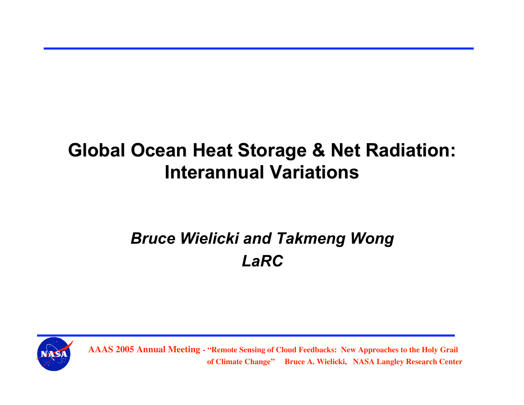# **Global Ocean Heat Storage & Net Radiation: Global Ocean Heat Storage & Net Radiation: Interannual Variations**

## *Bruce Wielicki and Takmeng Wong LaRC*

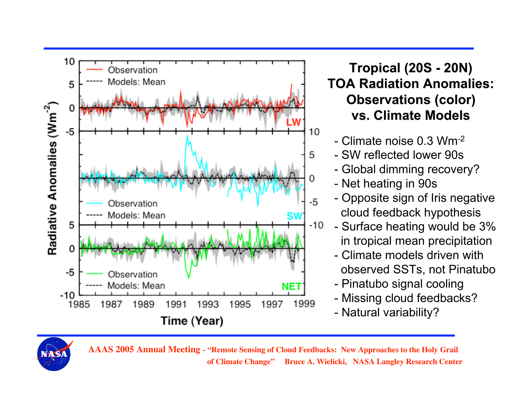

### **Tropical Tropical (20S - 20N) TOA Radiation Radiation Anomalies: Anomalies: Observations (color) vs. Climate Models**

- Climate noise 0.3 Wm-2
- SW reflected lower 90s
- Global dimming recovery?
- Net heating in 90s
- Opposite sign of Iris negative cloud feedback hypothesis
- Surface heating would be 3% in tropical mean precipitation
- Climate models driven with observed SSTs, not Pinatubo
- Pinatubo signal cooling
- Missing cloud feedbacks?
- Natural variability?

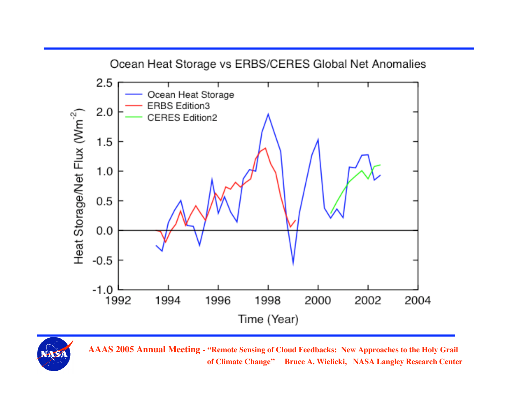

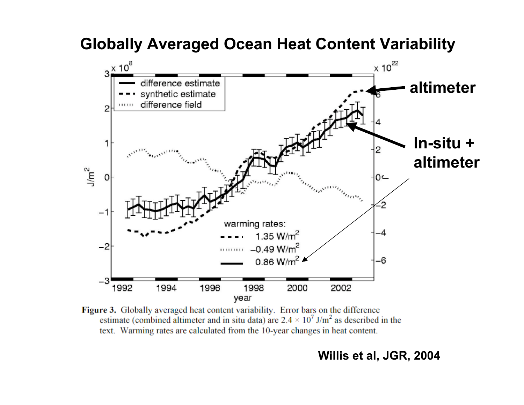### **Globally Averaged Ocean Heat Content Variability**



Figure 3. Globally averaged heat content variability. Error bars on the difference estimate (combined altimeter and in situ data) are  $2.4 \times 10^7$  J/m<sup>2</sup> as described in the text. Warming rates are calculated from the 10-year changes in heat content.

#### **Willis et al, JGR, 2004**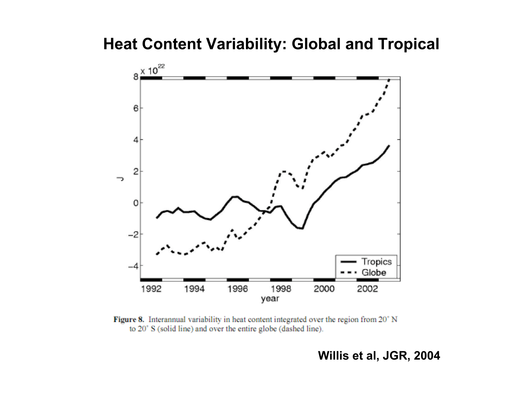

Figure 8. Interannual variability in heat content integrated over the region from 20° N to 20° S (solid line) and over the entire globe (dashed line).

#### **Willis et al, JGR, 2004**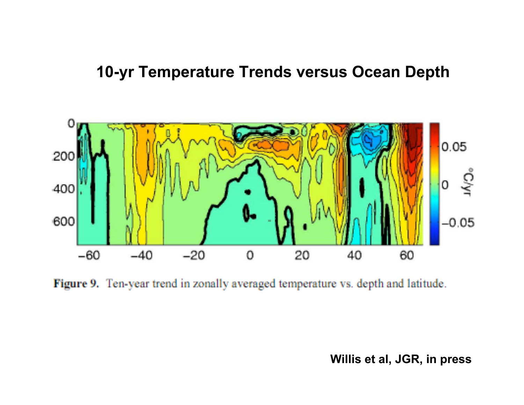### **10-yr Temperature Trends versus Ocean Depth**



Figure 9. Ten-year trend in zonally averaged temperature vs. depth and latitude.

**Willis et al, JGR, in press**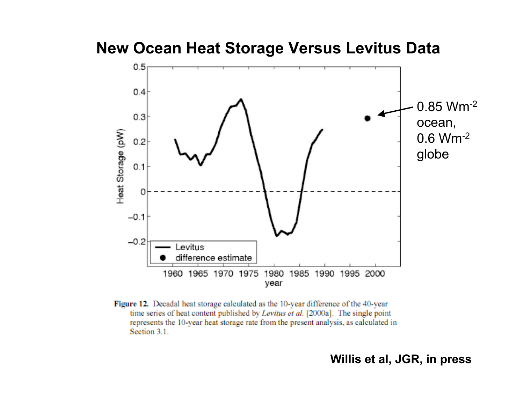**New Ocean Heat Storage Versus Levitus Data**



Figure 12. Decadal heat storage calculated as the 10-year difference of the 40-year time series of heat content published by Levitus et al. [2000a]. The single point represents the 10-year heat storage rate from the present analysis, as calculated in Section 3.1.

#### **Willis et al, JGR, in press**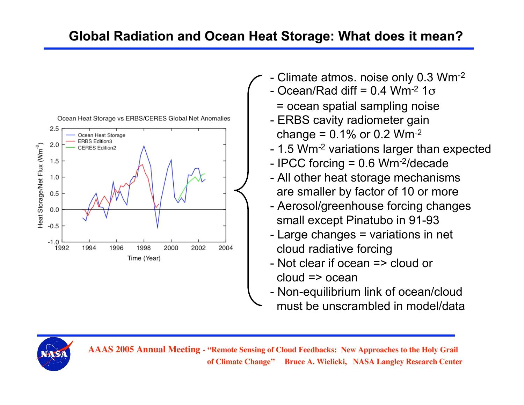### **Global Radiation and Ocean Heat Storage: What does it mean?**



- Climate atmos. noise only 0.3 Wm<sup>-2</sup>
	- $-$  Ocean/Rad diff = 0.4 Wm<sup>-2</sup> 1 $\sigma$ 
		- = ocean spatial sampling noise
	- ERBS cavity radiometer gain change =  $0.1\%$  or 0.2 Wm<sup>-2</sup>
	- 1.5 Wm-2 variations larger than expected
	- IPCC forcing = 0.6 Wm-2/decade
	- All other heat storage mechanisms are smaller by factor of 10 or more
	- Aerosol/greenhouse forcing changes small except Pinatubo in 91-93
	- Large changes = variations in net cloud radiative forcing
	- Not clear if ocean => cloud or cloud => ocean
- Non-equilibrium link of ocean/cloud must be unscrambled in model/data